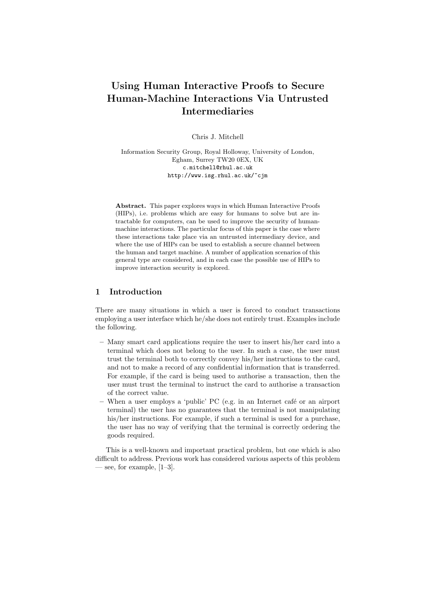# Using Human Interactive Proofs to Secure Human-Machine Interactions Via Untrusted Intermediaries

Chris J. Mitchell

Information Security Group, Royal Holloway, University of London, Egham, Surrey TW20 0EX, UK c.mitchell@rhul.ac.uk http://www.isg.rhul.ac.uk/~cjm

Abstract. This paper explores ways in which Human Interactive Proofs (HIPs), i.e. problems which are easy for humans to solve but are intractable for computers, can be used to improve the security of humanmachine interactions. The particular focus of this paper is the case where these interactions take place via an untrusted intermediary device, and where the use of HIPs can be used to establish a secure channel between the human and target machine. A number of application scenarios of this general type are considered, and in each case the possible use of HIPs to improve interaction security is explored.

# 1 Introduction

There are many situations in which a user is forced to conduct transactions employing a user interface which he/she does not entirely trust. Examples include the following.

- Many smart card applications require the user to insert his/her card into a terminal which does not belong to the user. In such a case, the user must trust the terminal both to correctly convey his/her instructions to the card, and not to make a record of any confidential information that is transferred. For example, if the card is being used to authorise a transaction, then the user must trust the terminal to instruct the card to authorise a transaction of the correct value.
- $-$  When a user employs a 'public' PC (e.g. in an Internet café or an airport terminal) the user has no guarantees that the terminal is not manipulating his/her instructions. For example, if such a terminal is used for a purchase, the user has no way of verifying that the terminal is correctly ordering the goods required.

This is a well-known and important practical problem, but one which is also difficult to address. Previous work has considered various aspects of this problem see, for example,  $[1-3]$ .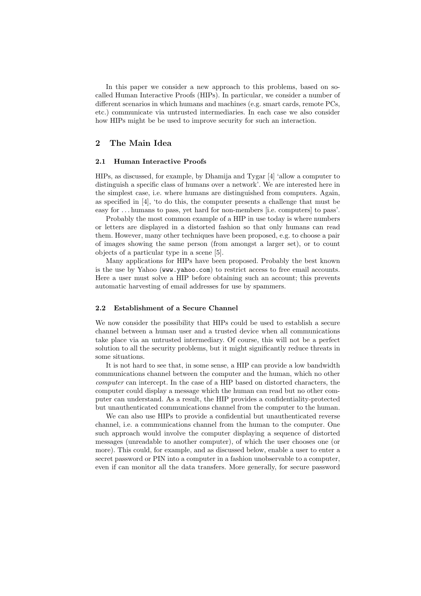In this paper we consider a new approach to this problems, based on socalled Human Interactive Proofs (HIPs). In particular, we consider a number of different scenarios in which humans and machines (e.g. smart cards, remote PCs, etc.) communicate via untrusted intermediaries. In each case we also consider how HIPs might be be used to improve security for such an interaction.

# 2 The Main Idea

#### 2.1 Human Interactive Proofs

HIPs, as discussed, for example, by Dhamija and Tygar [4] 'allow a computer to distinguish a specific class of humans over a network'. We are interested here in the simplest case, i.e. where humans are distinguished from computers. Again, as specified in [4], 'to do this, the computer presents a challenge that must be easy for . . . humans to pass, yet hard for non-members [i.e. computers] to pass'.

Probably the most common example of a HIP in use today is where numbers or letters are displayed in a distorted fashion so that only humans can read them. However, many other techniques have been proposed, e.g. to choose a pair of images showing the same person (from amongst a larger set), or to count objects of a particular type in a scene [5].

Many applications for HIPs have been proposed. Probably the best known is the use by Yahoo (www.yahoo.com) to restrict access to free email accounts. Here a user must solve a HIP before obtaining such an account; this prevents automatic harvesting of email addresses for use by spammers.

#### 2.2 Establishment of a Secure Channel

We now consider the possibility that HIPs could be used to establish a secure channel between a human user and a trusted device when all communications take place via an untrusted intermediary. Of course, this will not be a perfect solution to all the security problems, but it might significantly reduce threats in some situations.

It is not hard to see that, in some sense, a HIP can provide a low bandwidth communications channel between the computer and the human, which no other computer can intercept. In the case of a HIP based on distorted characters, the computer could display a message which the human can read but no other computer can understand. As a result, the HIP provides a confidentiality-protected but unauthenticated communications channel from the computer to the human.

We can also use HIPs to provide a confidential but unauthenticated reverse channel, i.e. a communications channel from the human to the computer. One such approach would involve the computer displaying a sequence of distorted messages (unreadable to another computer), of which the user chooses one (or more). This could, for example, and as discussed below, enable a user to enter a secret password or PIN into a computer in a fashion unobservable to a computer, even if can monitor all the data transfers. More generally, for secure password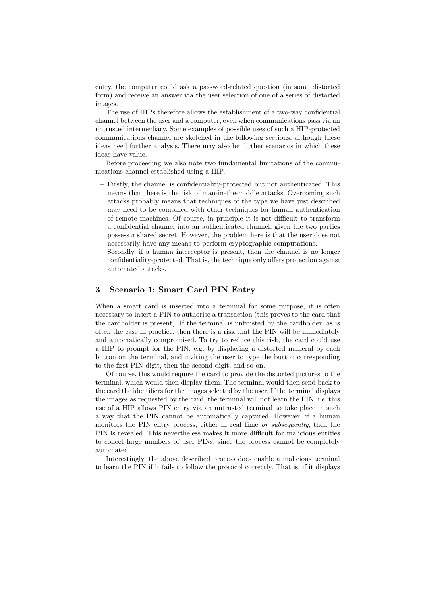entry, the computer could ask a password-related question (in some distorted form) and receive an answer via the user selection of one of a series of distorted images.

The use of HIPs therefore allows the establishment of a two-way confidential channel between the user and a computer, even when communications pass via an untrusted intermediary. Some examples of possible uses of such a HIP-protected communications channel are sketched in the following sections, although these ideas need further analysis. There may also be further scenarios in which these ideas have value.

Before proceeding we also note two fundamental limitations of the communications channel established using a HIP.

- Firstly, the channel is confidentiality-protected but not authenticated. This means that there is the risk of man-in-the-middle attacks. Overcoming such attacks probably means that techniques of the type we have just described may need to be combined with other techniques for human authentication of remote machines. Of course, in principle it is not difficult to transform a confidential channel into an authenticated channel, given the two parties possess a shared secret. However, the problem here is that the user does not necessarily have any means to perform cryptographic computations.
- Secondly, if a human interceptor is present, then the channel is no longer confidentiality-protected. That is, the technique only offers protection against automated attacks.

## 3 Scenario 1: Smart Card PIN Entry

When a smart card is inserted into a terminal for some purpose, it is often necessary to insert a PIN to authorise a transaction (this proves to the card that the cardholder is present). If the terminal is untrusted by the cardholder, as is often the case in practice, then there is a risk that the PIN will be immediately and automatically compromised. To try to reduce this risk, the card could use a HIP to prompt for the PIN, e.g. by displaying a distorted numeral by each button on the terminal, and inviting the user to type the button corresponding to the first PIN digit, then the second digit, and so on.

Of course, this would require the card to provide the distorted pictures to the terminal, which would then display them. The terminal would then send back to the card the identifiers for the images selected by the user. If the terminal displays the images as requested by the card, the terminal will not learn the PIN, i.e. this use of a HIP allows PIN entry via an untrusted terminal to take place in such a way that the PIN cannot be automatically captured. However, if a human monitors the PIN entry process, either in real time or subsequently, then the PIN is revealed. This nevertheless makes it more difficult for malicious entities to collect large numbers of user PINs, since the process cannot be completely automated.

Interestingly, the above described process does enable a malicious terminal to learn the PIN if it fails to follow the protocol correctly. That is, if it displays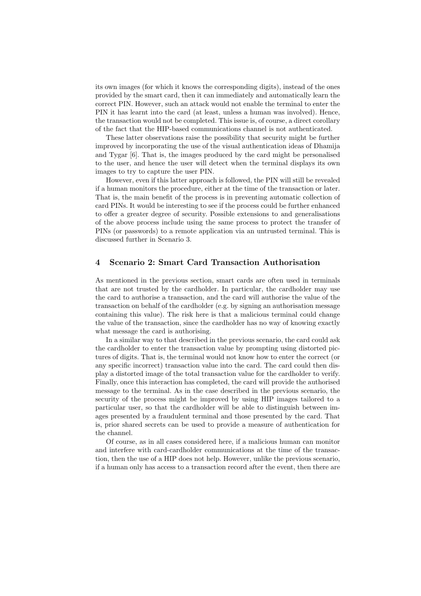its own images (for which it knows the corresponding digits), instead of the ones provided by the smart card, then it can immediately and automatically learn the correct PIN. However, such an attack would not enable the terminal to enter the PIN it has learnt into the card (at least, unless a human was involved). Hence, the transaction would not be completed. This issue is, of course, a direct corollary of the fact that the HIP-based communications channel is not authenticated.

These latter observations raise the possibility that security might be further improved by incorporating the use of the visual authentication ideas of Dhamija and Tygar [6]. That is, the images produced by the card might be personalised to the user, and hence the user will detect when the terminal displays its own images to try to capture the user PIN.

However, even if this latter approach is followed, the PIN will still be revealed if a human monitors the procedure, either at the time of the transaction or later. That is, the main benefit of the process is in preventing automatic collection of card PINs. It would be interesting to see if the process could be further enhanced to offer a greater degree of security. Possible extensions to and generalisations of the above process include using the same process to protect the transfer of PINs (or passwords) to a remote application via an untrusted terminal. This is discussed further in Scenario 3.

# 4 Scenario 2: Smart Card Transaction Authorisation

As mentioned in the previous section, smart cards are often used in terminals that are not trusted by the cardholder. In particular, the cardholder may use the card to authorise a transaction, and the card will authorise the value of the transaction on behalf of the cardholder (e.g. by signing an authorisation message containing this value). The risk here is that a malicious terminal could change the value of the transaction, since the cardholder has no way of knowing exactly what message the card is authorising.

In a similar way to that described in the previous scenario, the card could ask the cardholder to enter the transaction value by prompting using distorted pictures of digits. That is, the terminal would not know how to enter the correct (or any specific incorrect) transaction value into the card. The card could then display a distorted image of the total transaction value for the cardholder to verify. Finally, once this interaction has completed, the card will provide the authorised message to the terminal. As in the case described in the previous scenario, the security of the process might be improved by using HIP images tailored to a particular user, so that the cardholder will be able to distinguish between images presented by a fraudulent terminal and those presented by the card. That is, prior shared secrets can be used to provide a measure of authentication for the channel.

Of course, as in all cases considered here, if a malicious human can monitor and interfere with card-cardholder communications at the time of the transaction, then the use of a HIP does not help. However, unlike the previous scenario, if a human only has access to a transaction record after the event, then there are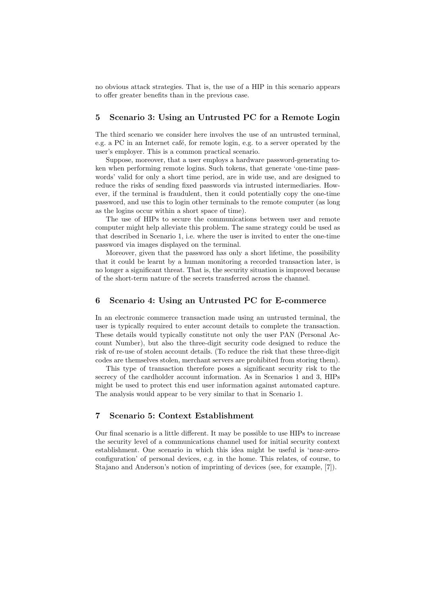no obvious attack strategies. That is, the use of a HIP in this scenario appears to offer greater benefits than in the previous case.

### 5 Scenario 3: Using an Untrusted PC for a Remote Login

The third scenario we consider here involves the use of an untrusted terminal, e.g. a PC in an Internet café, for remote login, e.g. to a server operated by the user's employer. This is a common practical scenario.

Suppose, moreover, that a user employs a hardware password-generating token when performing remote logins. Such tokens, that generate 'one-time passwords' valid for only a short time period, are in wide use, and are designed to reduce the risks of sending fixed passwords via intrusted intermediaries. However, if the terminal is fraudulent, then it could potentially copy the one-time password, and use this to login other terminals to the remote computer (as long as the logins occur within a short space of time).

The use of HIPs to secure the communications between user and remote computer might help alleviate this problem. The same strategy could be used as that described in Scenario 1, i.e. where the user is invited to enter the one-time password via images displayed on the terminal.

Moreover, given that the password has only a short lifetime, the possibility that it could be learnt by a human monitoring a recorded transaction later, is no longer a significant threat. That is, the security situation is improved because of the short-term nature of the secrets transferred across the channel.

### 6 Scenario 4: Using an Untrusted PC for E-commerce

In an electronic commerce transaction made using an untrusted terminal, the user is typically required to enter account details to complete the transaction. These details would typically constitute not only the user PAN (Personal Account Number), but also the three-digit security code designed to reduce the risk of re-use of stolen account details. (To reduce the risk that these three-digit codes are themselves stolen, merchant servers are prohibited from storing them).

This type of transaction therefore poses a significant security risk to the secrecy of the cardholder account information. As in Scenarios 1 and 3, HIPs might be used to protect this end user information against automated capture. The analysis would appear to be very similar to that in Scenario 1.

# 7 Scenario 5: Context Establishment

Our final scenario is a little different. It may be possible to use HIPs to increase the security level of a communications channel used for initial security context establishment. One scenario in which this idea might be useful is 'near-zeroconfiguration' of personal devices, e.g. in the home. This relates, of course, to Stajano and Anderson's notion of imprinting of devices (see, for example, [7]).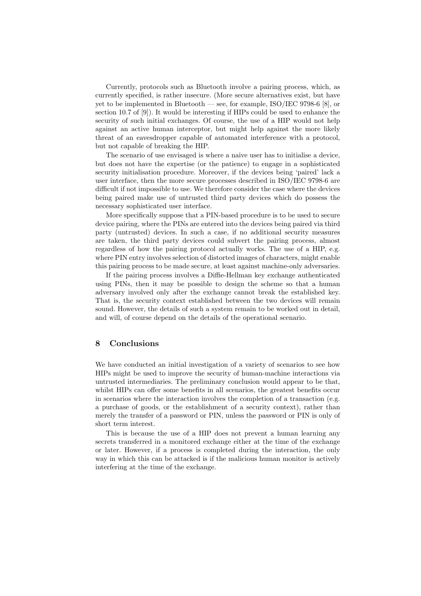Currently, protocols such as Bluetooth involve a pairing process, which, as currently specified, is rather insecure. (More secure alternatives exist, but have yet to be implemented in Bluetooth — see, for example, ISO/IEC 9798-6 [8], or section 10.7 of [9]). It would be interesting if HIPs could be used to enhance the security of such initial exchanges. Of course, the use of a HIP would not help against an active human interceptor, but might help against the more likely threat of an eavesdropper capable of automated interference with a protocol, but not capable of breaking the HIP.

The scenario of use envisaged is where a naive user has to initialise a device, but does not have the expertise (or the patience) to engage in a sophisticated security initialisation procedure. Moreover, if the devices being 'paired' lack a user interface, then the more secure processes described in ISO/IEC 9798-6 are difficult if not impossible to use. We therefore consider the case where the devices being paired make use of untrusted third party devices which do possess the necessary sophisticated user interface.

More specifically suppose that a PIN-based procedure is to be used to secure device pairing, where the PINs are entered into the devices being paired via third party (untrusted) devices. In such a case, if no additional security measures are taken, the third party devices could subvert the pairing process, almost regardless of how the pairing protocol actually works. The use of a HIP, e.g. where PIN entry involves selection of distorted images of characters, might enable this pairing process to be made secure, at least against machine-only adversaries.

If the pairing process involves a Diffie-Hellman key exchange authenticated using PINs, then it may be possible to design the scheme so that a human adversary involved only after the exchange cannot break the established key. That is, the security context established between the two devices will remain sound. However, the details of such a system remain to be worked out in detail, and will, of course depend on the details of the operational scenario.

# 8 Conclusions

We have conducted an initial investigation of a variety of scenarios to see how HIPs might be used to improve the security of human-machine interactions via untrusted intermediaries. The preliminary conclusion would appear to be that, whilst HIPs can offer some benefits in all scenarios, the greatest benefits occur in scenarios where the interaction involves the completion of a transaction (e.g. a purchase of goods, or the establishment of a security context), rather than merely the transfer of a password or PIN, unless the password or PIN is only of short term interest.

This is because the use of a HIP does not prevent a human learning any secrets transferred in a monitored exchange either at the time of the exchange or later. However, if a process is completed during the interaction, the only way in which this can be attacked is if the malicious human monitor is actively interfering at the time of the exchange.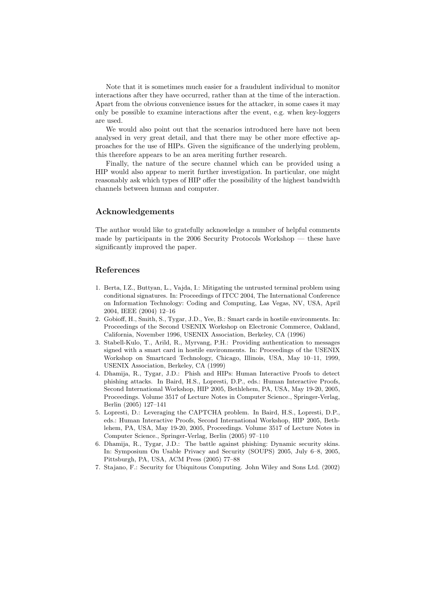Note that it is sometimes much easier for a fraudulent individual to monitor interactions after they have occurred, rather than at the time of the interaction. Apart from the obvious convenience issues for the attacker, in some cases it may only be possible to examine interactions after the event, e.g. when key-loggers are used.

We would also point out that the scenarios introduced here have not been analysed in very great detail, and that there may be other more effective approaches for the use of HIPs. Given the significance of the underlying problem, this therefore appears to be an area meriting further research.

Finally, the nature of the secure channel which can be provided using a HIP would also appear to merit further investigation. In particular, one might reasonably ask which types of HIP offer the possibility of the highest bandwidth channels between human and computer.

#### Acknowledgements

The author would like to gratefully acknowledge a number of helpful comments made by participants in the 2006 Security Protocols Workshop — these have significantly improved the paper.

### References

- 1. Berta, I.Z., Buttyan, L., Vajda, I.: Mitigating the untrusted terminal problem using conditional signatures. In: Proceedings of ITCC 2004, The International Conference on Information Technology: Coding and Computing, Las Vegas, NV, USA, April 2004, IEEE (2004) 12–16
- 2. Gobioff, H., Smith, S., Tygar, J.D., Yee, B.: Smart cards in hostile environments. In: Proceedings of the Second USENIX Workshop on Electronic Commerce, Oakland, California, November 1996, USENIX Association, Berkeley, CA (1996)
- 3. Stabell-Kulo, T., Arild, R., Myrvang, P.H.: Providing authentication to messages signed with a smart card in hostile environments. In: Proceedings of the USENIX Workshop on Smartcard Technology, Chicago, Illinois, USA, May 10–11, 1999, USENIX Association, Berkeley, CA (1999)
- 4. Dhamija, R., Tygar, J.D.: Phish and HIPs: Human Interactive Proofs to detect phishing attacks. In Baird, H.S., Lopresti, D.P., eds.: Human Interactive Proofs, Second International Workshop, HIP 2005, Bethlehem, PA, USA, May 19-20, 2005, Proceedings. Volume 3517 of Lecture Notes in Computer Science., Springer-Verlag, Berlin (2005) 127–141
- 5. Lopresti, D.: Leveraging the CAPTCHA problem. In Baird, H.S., Lopresti, D.P., eds.: Human Interactive Proofs, Second International Workshop, HIP 2005, Bethlehem, PA, USA, May 19-20, 2005, Proceedings. Volume 3517 of Lecture Notes in Computer Science., Springer-Verlag, Berlin (2005) 97–110
- 6. Dhamija, R., Tygar, J.D.: The battle against phishing: Dynamic security skins. In: Symposium On Usable Privacy and Security (SOUPS) 2005, July 6–8, 2005, Pittsburgh, PA, USA, ACM Press (2005) 77–88
- 7. Stajano, F.: Security for Ubiquitous Computing. John Wiley and Sons Ltd. (2002)